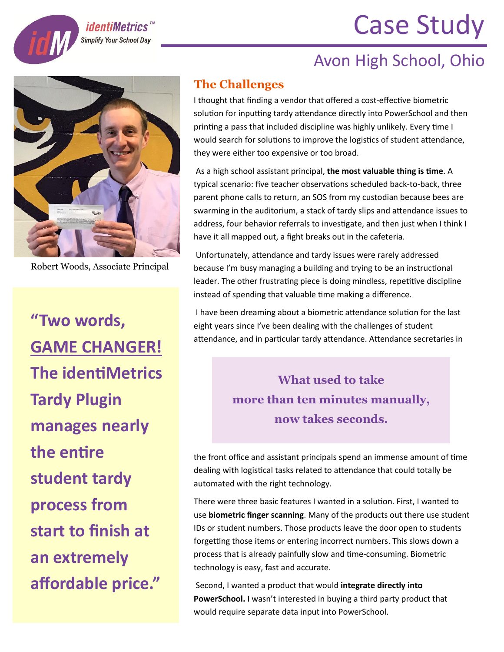## Case Study





*identiMetrics*<sup>"</sup> **Simplify Your School Day** 

Robert Woods, Associate Principal

**"Two words, GAME CHANGER! The identiMetrics Tardy Plugin manages nearly the entire student tardy process from start to finish at an extremely affordable price."**

## **The Challenges**

I thought that finding a vendor that offered a cost-effective biometric solution for inputting tardy attendance directly into PowerSchool and then printing a pass that included discipline was highly unlikely. Every time I would search for solutions to improve the logistics of student attendance, they were either too expensive or too broad.

As a high school assistant principal, the most valuable thing is time. A typical scenario: five teacher observations scheduled back-to-back, three parent phone calls to return, an SOS from my custodian because bees are swarming in the auditorium, a stack of tardy slips and attendance issues to address, four behavior referrals to investigate, and then just when I think I have it all mapped out, a fight breaks out in the cafeteria.

Unfortunately, attendance and tardy issues were rarely addressed because I'm busy managing a building and trying to be an instructional leader. The other frustrating piece is doing mindless, repetitive discipline instead of spending that valuable time making a difference.

I have been dreaming about a biometric attendance solution for the last eight years since I've been dealing with the challenges of student attendance, and in particular tardy attendance. Attendance secretaries in

> **What used to take more than ten minutes manually, now takes seconds.**

the front office and assistant principals spend an immense amount of time dealing with logistical tasks related to attendance that could totally be automated with the right technology.

There were three basic features I wanted in a solution. First, I wanted to use **biometric finger scanning**. Many of the products out there use student IDs or student numbers. Those products leave the door open to students forgetting those items or entering incorrect numbers. This slows down a process that is already painfully slow and time-consuming. Biometric technology is easy, fast and accurate.

Second, I wanted a product that would **integrate directly into PowerSchool.** I wasn't interested in buying a third party product that would require separate data input into PowerSchool.